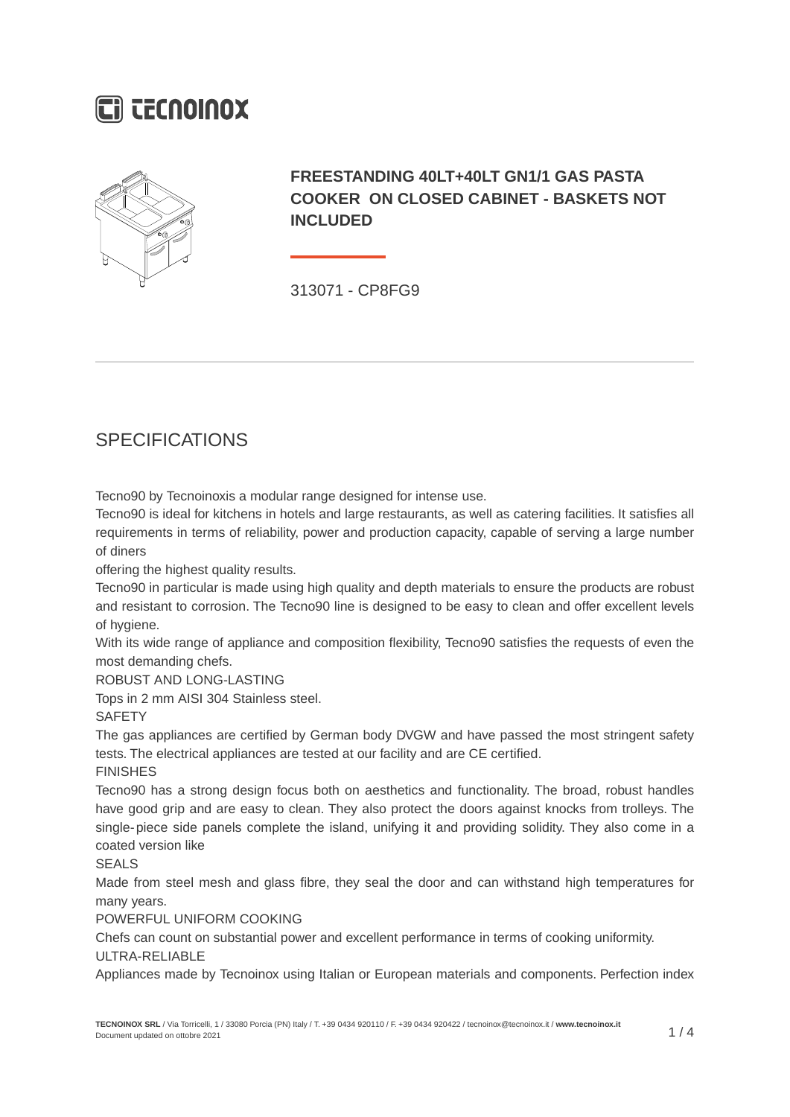# **Ci CECNOINOX**



### **FREESTANDING 40LT+40LT GN1/1 GAS PASTA COOKER ON CLOSED CABINET - BASKETS NOT INCLUDED**

313071 - CP8FG9

## **SPECIFICATIONS**

Tecno90 by Tecnoinoxis a modular range designed for intense use.

Tecno90 is ideal for kitchens in hotels and large restaurants, as well as catering facilities. It satisfies all requirements in terms of reliability, power and production capacity, capable of serving a large number of diners

offering the highest quality results.

Tecno90 in particular is made using high quality and depth materials to ensure the products are robust and resistant to corrosion. The Tecno90 line is designed to be easy to clean and offer excellent levels of hygiene.

With its wide range of appliance and composition flexibility, Tecno90 satisfies the requests of even the most demanding chefs.

ROBUST AND LONG-LASTING

Tops in 2 mm AISI 304 Stainless steel.

**SAFETY** 

The gas appliances are certified by German body DVGW and have passed the most stringent safety tests. The electrical appliances are tested at our facility and are CE certified.

FINISHES

Tecno90 has a strong design focus both on aesthetics and functionality. The broad, robust handles have good grip and are easy to clean. They also protect the doors against knocks from trolleys. The single-piece side panels complete the island, unifying it and providing solidity. They also come in a coated version like

SEALS

Made from steel mesh and glass fibre, they seal the door and can withstand high temperatures for many years.

POWERFUL UNIFORM COOKING

Chefs can count on substantial power and excellent performance in terms of cooking uniformity.

#### ULTRA-RELIABLE

Appliances made by Tecnoinox using Italian or European materials and components. Perfection index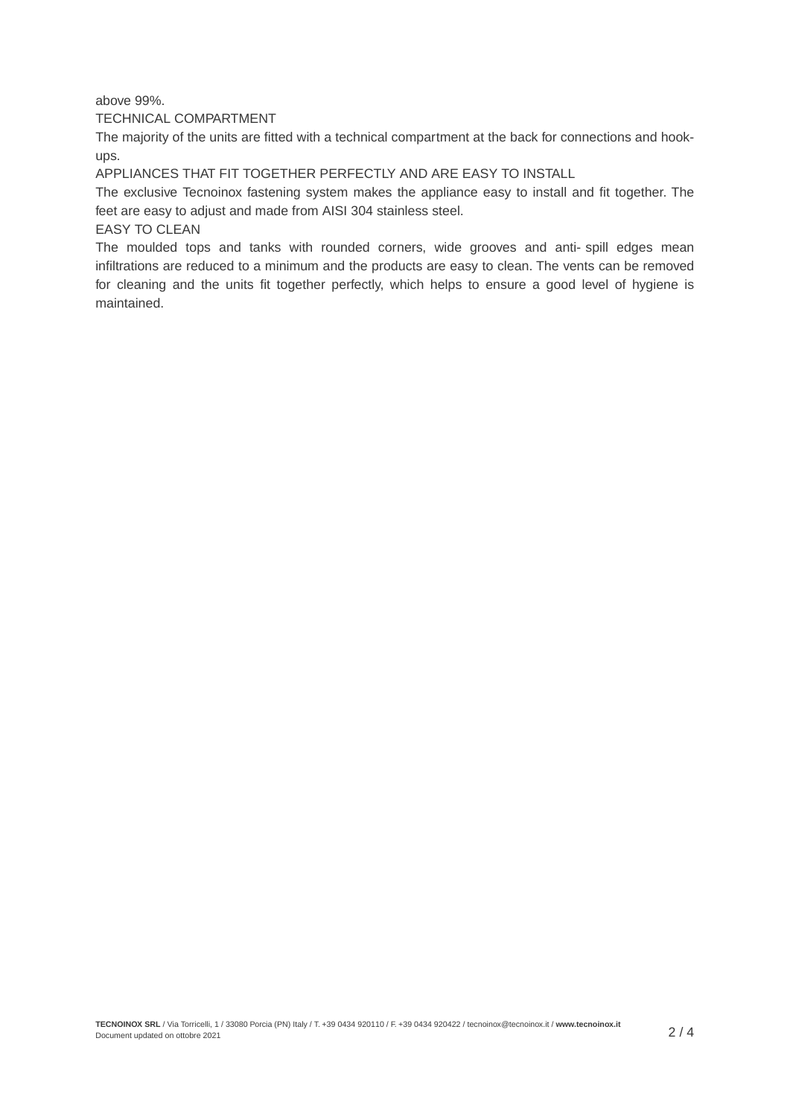#### above 99%.

TECHNICAL COMPARTMENT

The majority of the units are fitted with a technical compartment at the back for connections and hookups.

APPLIANCES THAT FIT TOGETHER PERFECTLY AND ARE EASY TO INSTALL

The exclusive Tecnoinox fastening system makes the appliance easy to install and fit together. The feet are easy to adjust and made from AISI 304 stainless steel.

EASY TO CLEAN

The moulded tops and tanks with rounded corners, wide grooves and anti- spill edges mean infiltrations are reduced to a minimum and the products are easy to clean. The vents can be removed for cleaning and the units fit together perfectly, which helps to ensure a good level of hygiene is maintained.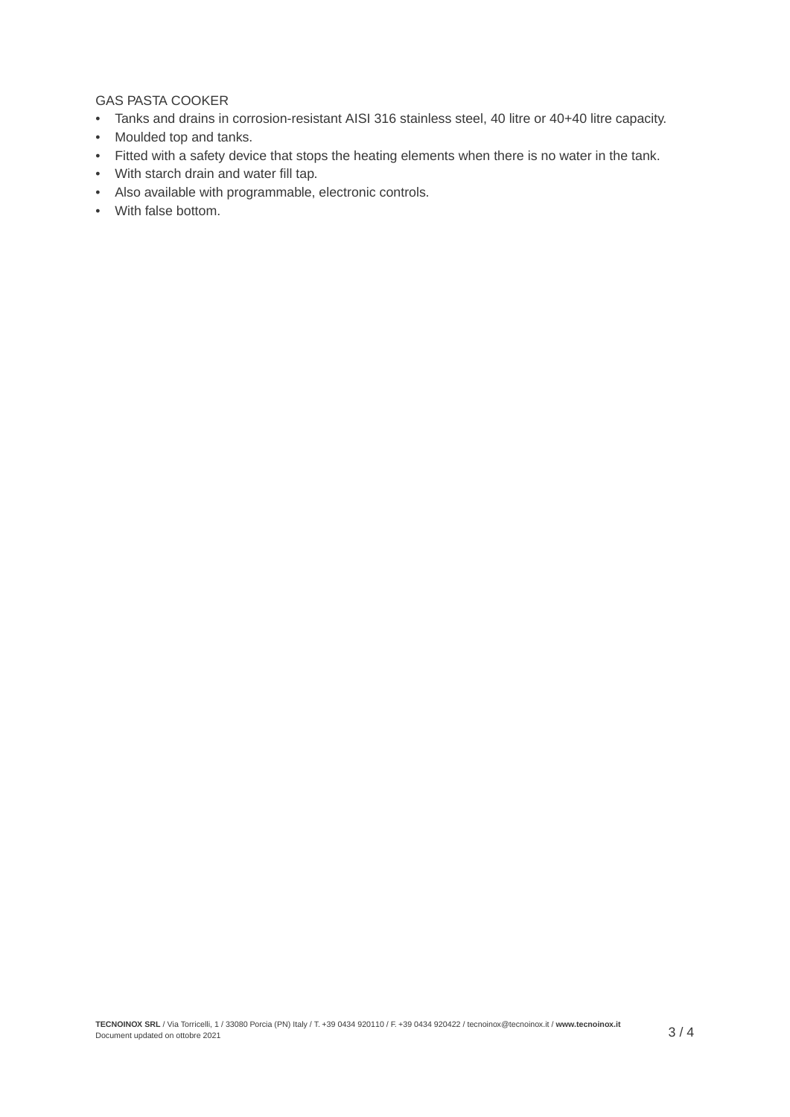### GAS PASTA COOKER

- Tanks and drains in corrosion-resistant AISI 316 stainless steel, 40 litre or 40+40 litre capacity.
- Moulded top and tanks.
- Fitted with a safety device that stops the heating elements when there is no water in the tank.
- With starch drain and water fill tap.
- Also available with programmable, electronic controls.
- With false bottom.